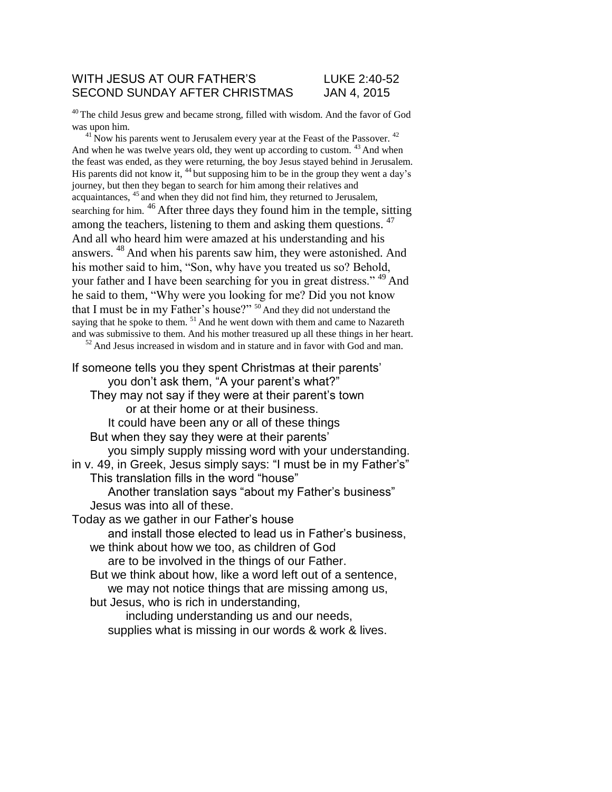#### WITH JESUS AT OUR FATHER'S LUKE 2:40-52 SECOND SUNDAY AFTER CHRISTMAS JAN 4, 2015

<sup>40</sup>The child Jesus grew and became strong, filled with wisdom. And the favor of God was upon him.

 $41$ <sup>1</sup>Now his parents went to Jerusalem every year at the Feast of the Passover.  $42$ And when he was twelve years old, they went up according to custom.  $43$  And when the feast was ended, as they were returning, the boy Jesus stayed behind in Jerusalem. His parents did not know it,  $44$  but supposing him to be in the group they went a day's journey, but then they began to search for him among their relatives and acquaintances, <sup>45</sup> and when they did not find him, they returned to Jerusalem, searching for him. <sup>46</sup> After three days they found him in the temple, sitting among the teachers, listening to them and asking them questions. <sup>47</sup> And all who heard him were amazed at his understanding and his answers. <sup>48</sup> And when his parents saw him, they were astonished. And his mother said to him, "Son, why have you treated us so? Behold, your father and I have been searching for you in great distress." <sup>49</sup> And he said to them, "Why were you looking for me? Did you not know that I must be in my Father's house?" <sup>50</sup>And they did not understand the saying that he spoke to them.  $51$  And he went down with them and came to Nazareth and was submissive to them. And his mother treasured up all these things in her heart.  $52$  And Jesus increased in wisdom and in stature and in favor with God and man.

If someone tells you they spent Christmas at their parents' you don't ask them, "A your parent's what?" They may not say if they were at their parent's town or at their home or at their business. It could have been any or all of these things But when they say they were at their parents' you simply supply missing word with your understanding. in v. 49, in Greek, Jesus simply says: "I must be in my Father's" This translation fills in the word "house" Another translation says "about my Father's business" Jesus was into all of these. Today as we gather in our Father's house and install those elected to lead us in Father's business, we think about how we too, as children of God are to be involved in the things of our Father. But we think about how, like a word left out of a sentence, we may not notice things that are missing among us, but Jesus, who is rich in understanding, including understanding us and our needs, supplies what is missing in our words & work & lives.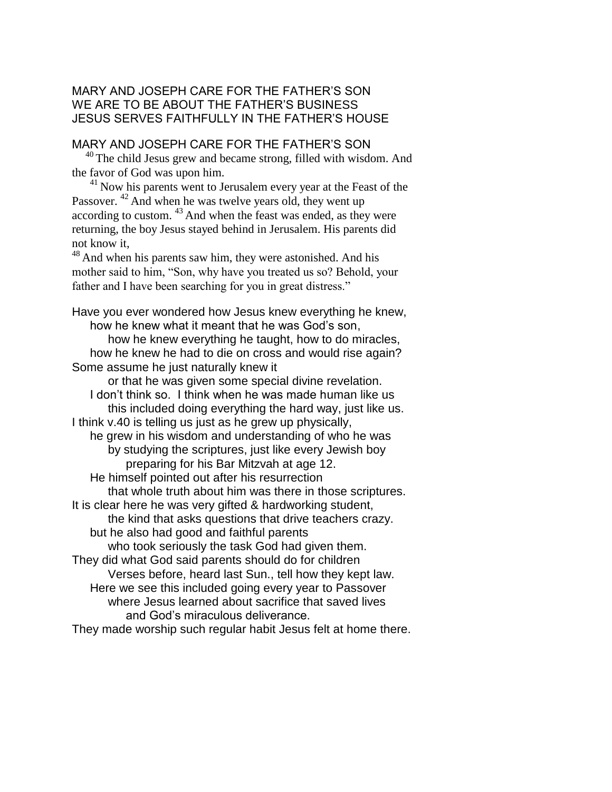## MARY AND JOSEPH CARE FOR THE FATHER'S SON WE ARE TO BE ABOUT THE FATHER'S BUSINESS JESUS SERVES FAITHFULLY IN THE FATHER'S HOUSE

## MARY AND JOSEPH CARE FOR THE FATHER'S SON

<sup>40</sup> The child Jesus grew and became strong, filled with wisdom. And the favor of God was upon him.

 $41$  Now his parents went to Jerusalem every year at the Feast of the Passover. <sup>42</sup> And when he was twelve years old, they went up according to custom.  $43$  And when the feast was ended, as they were returning, the boy Jesus stayed behind in Jerusalem. His parents did not know it,

 $48$ And when his parents saw him, they were astonished. And his mother said to him, "Son, why have you treated us so? Behold, your father and I have been searching for you in great distress."

Have you ever wondered how Jesus knew everything he knew, how he knew what it meant that he was God's son, how he knew everything he taught, how to do miracles, how he knew he had to die on cross and would rise again? Some assume he just naturally knew it or that he was given some special divine revelation. I don't think so. I think when he was made human like us this included doing everything the hard way, just like us. I think v.40 is telling us just as he grew up physically, he grew in his wisdom and understanding of who he was by studying the scriptures, just like every Jewish boy preparing for his Bar Mitzvah at age 12. He himself pointed out after his resurrection that whole truth about him was there in those scriptures. It is clear here he was very gifted & hardworking student, the kind that asks questions that drive teachers crazy. but he also had good and faithful parents who took seriously the task God had given them. They did what God said parents should do for children Verses before, heard last Sun., tell how they kept law. Here we see this included going every year to Passover where Jesus learned about sacrifice that saved lives and God's miraculous deliverance. They made worship such regular habit Jesus felt at home there.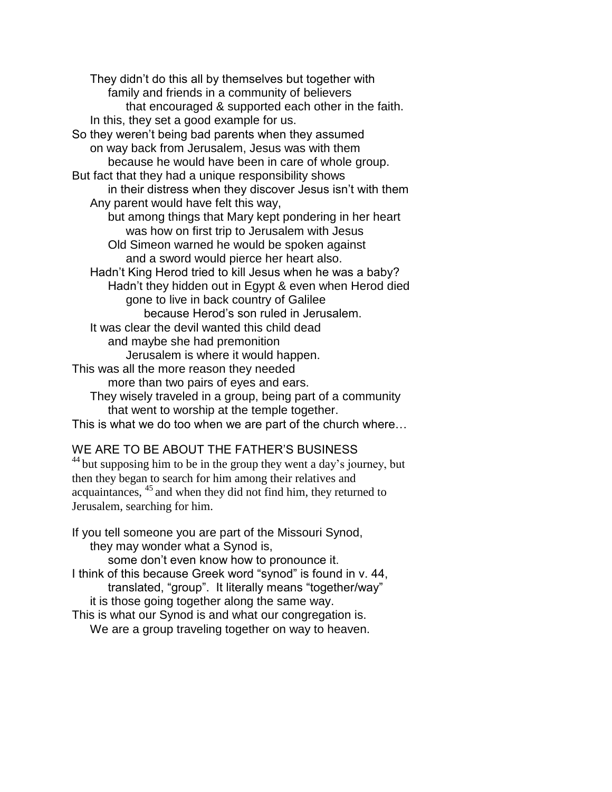They didn't do this all by themselves but together with family and friends in a community of believers that encouraged & supported each other in the faith. In this, they set a good example for us. So they weren't being bad parents when they assumed on way back from Jerusalem, Jesus was with them because he would have been in care of whole group. But fact that they had a unique responsibility shows in their distress when they discover Jesus isn't with them Any parent would have felt this way, but among things that Mary kept pondering in her heart was how on first trip to Jerusalem with Jesus Old Simeon warned he would be spoken against and a sword would pierce her heart also. Hadn't King Herod tried to kill Jesus when he was a baby? Hadn't they hidden out in Egypt & even when Herod died gone to live in back country of Galilee because Herod's son ruled in Jerusalem. It was clear the devil wanted this child dead and maybe she had premonition Jerusalem is where it would happen. This was all the more reason they needed more than two pairs of eyes and ears. They wisely traveled in a group, being part of a community that went to worship at the temple together. This is what we do too when we are part of the church where…

## WE ARE TO BE ABOUT THE FATHER'S BUSINESS

 $44$  but supposing him to be in the group they went a day's journey, but then they began to search for him among their relatives and  $acquaintances,  $45$  and when they did not find him, they returned to$ Jerusalem, searching for him.

If you tell someone you are part of the Missouri Synod, they may wonder what a Synod is,

some don't even know how to pronounce it. I think of this because Greek word "synod" is found in v. 44, translated, "group". It literally means "together/way" it is those going together along the same way. This is what our Synod is and what our congregation is.

We are a group traveling together on way to heaven.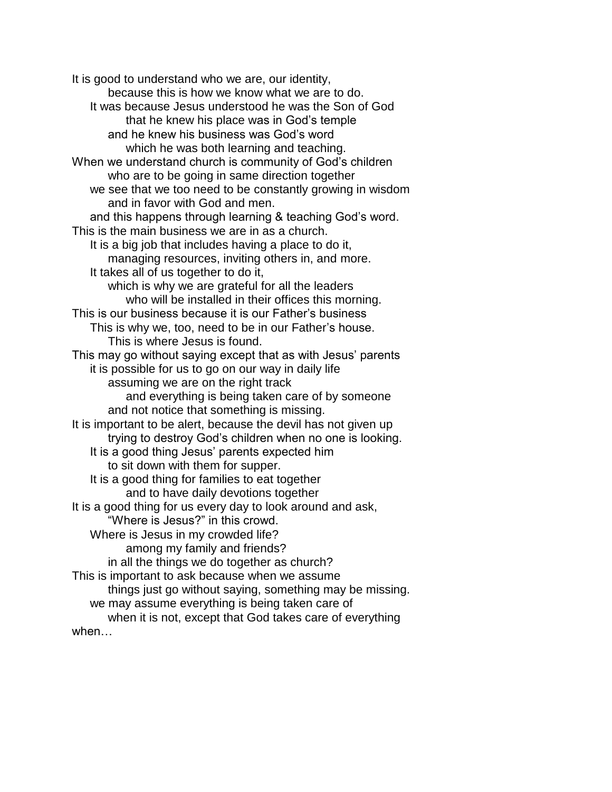It is good to understand who we are, our identity, because this is how we know what we are to do. It was because Jesus understood he was the Son of God that he knew his place was in God's temple and he knew his business was God's word which he was both learning and teaching. When we understand church is community of God's children who are to be going in same direction together we see that we too need to be constantly growing in wisdom and in favor with God and men. and this happens through learning & teaching God's word. This is the main business we are in as a church. It is a big job that includes having a place to do it, managing resources, inviting others in, and more. It takes all of us together to do it, which is why we are grateful for all the leaders who will be installed in their offices this morning. This is our business because it is our Father's business This is why we, too, need to be in our Father's house. This is where Jesus is found. This may go without saying except that as with Jesus' parents it is possible for us to go on our way in daily life assuming we are on the right track and everything is being taken care of by someone and not notice that something is missing. It is important to be alert, because the devil has not given up trying to destroy God's children when no one is looking. It is a good thing Jesus' parents expected him to sit down with them for supper. It is a good thing for families to eat together and to have daily devotions together It is a good thing for us every day to look around and ask, "Where is Jesus?" in this crowd. Where is Jesus in my crowded life? among my family and friends? in all the things we do together as church? This is important to ask because when we assume things just go without saying, something may be missing. we may assume everything is being taken care of when it is not, except that God takes care of everything when…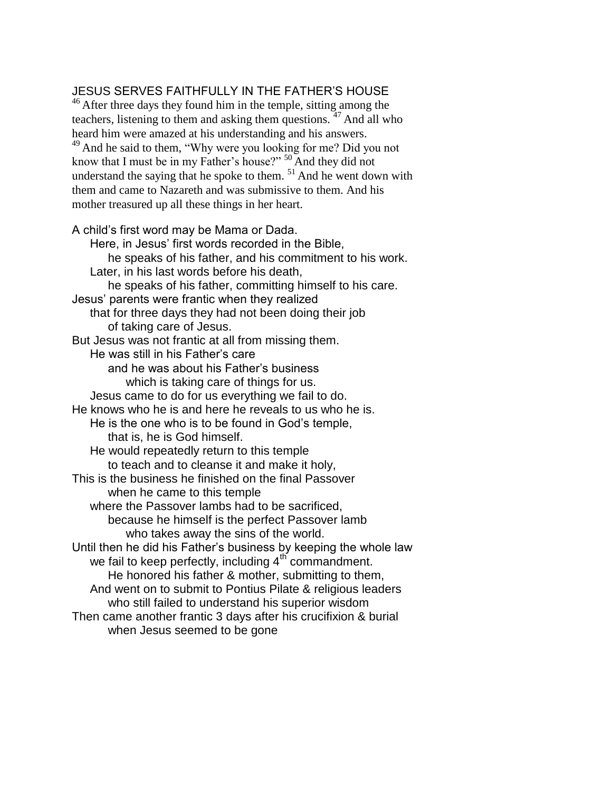# JESUS SERVES FAITHFULLY IN THE FATHER'S HOUSE

 $46$  After three days they found him in the temple, sitting among the teachers, listening to them and asking them questions.  $47$  And all who heard him were amazed at his understanding and his answers. <sup>49</sup> And he said to them, "Why were you looking for me? Did you not know that I must be in my Father's house?"  $50$  And they did not understand the saying that he spoke to them.  $51$  And he went down with them and came to Nazareth and was submissive to them. And his mother treasured up all these things in her heart.

#### A child's first word may be Mama or Dada.

Here, in Jesus' first words recorded in the Bible, he speaks of his father, and his commitment to his work. Later, in his last words before his death, he speaks of his father, committing himself to his care. Jesus' parents were frantic when they realized that for three days they had not been doing their job of taking care of Jesus. But Jesus was not frantic at all from missing them. He was still in his Father's care and he was about his Father's business which is taking care of things for us. Jesus came to do for us everything we fail to do. He knows who he is and here he reveals to us who he is. He is the one who is to be found in God's temple, that is, he is God himself. He would repeatedly return to this temple to teach and to cleanse it and make it holy, This is the business he finished on the final Passover when he came to this temple where the Passover lambs had to be sacrificed, because he himself is the perfect Passover lamb who takes away the sins of the world. Until then he did his Father's business by keeping the whole law we fail to keep perfectly, including  $4<sup>th</sup>$  commandment. He honored his father & mother, submitting to them, And went on to submit to Pontius Pilate & religious leaders who still failed to understand his superior wisdom Then came another frantic 3 days after his crucifixion & burial when Jesus seemed to be gone